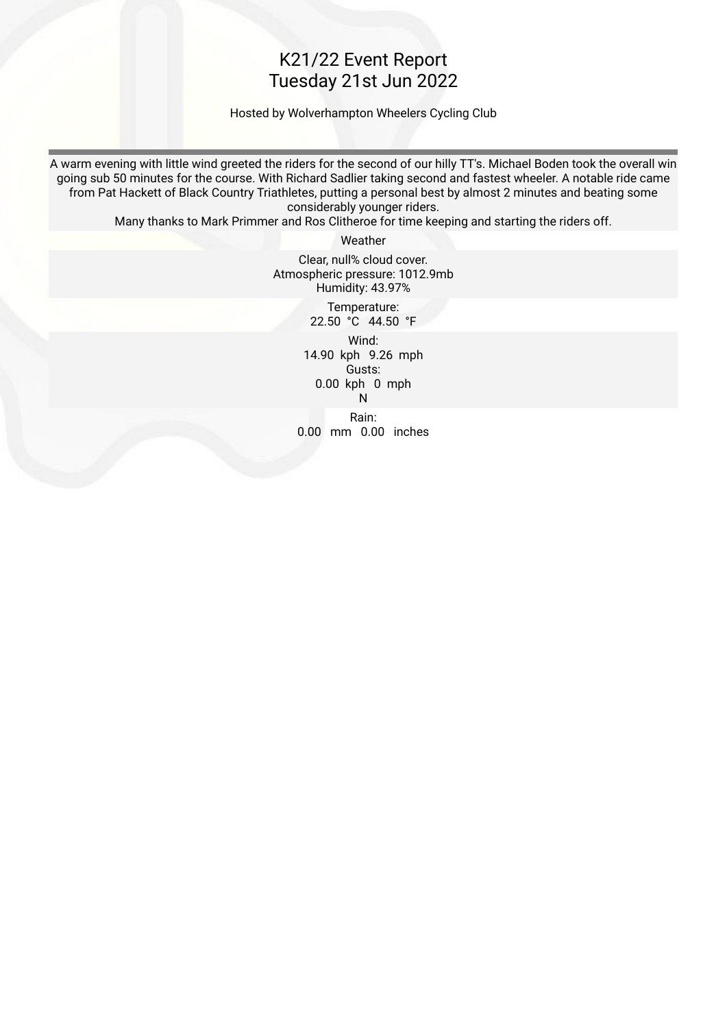#### K21/22 Event Report Tuesday 21st Jun 2022

Hosted by Wolverhampton Wheelers Cycling Club

A warm evening with little wind greeted the riders for the second of our hilly TT's. Michael Boden took the overall win going sub 50 minutes for the course. With Richard Sadlier taking second and fastest wheeler. A notable ride came from Pat Hackett of Black Country Triathletes, putting a personal best by almost 2 minutes and beating some considerably younger riders.

Many thanks to Mark Primmer and Ros Clitheroe for time keeping and starting the riders off.

Weather

Clear, null% cloud cover. Atmospheric pressure: 1012.9mb Humidity: 43.97%

 Temperature: 22.50 °C 44.50 °F

 Wind: 14.90 kph 9.26 mph Gusts: 0.00 kph 0 mph na ang pangalang na pangalang na pangalang na pangalang na pangalang na pangalang na pangalang na pangalang na Rain: 0.00 mm 0.00 inches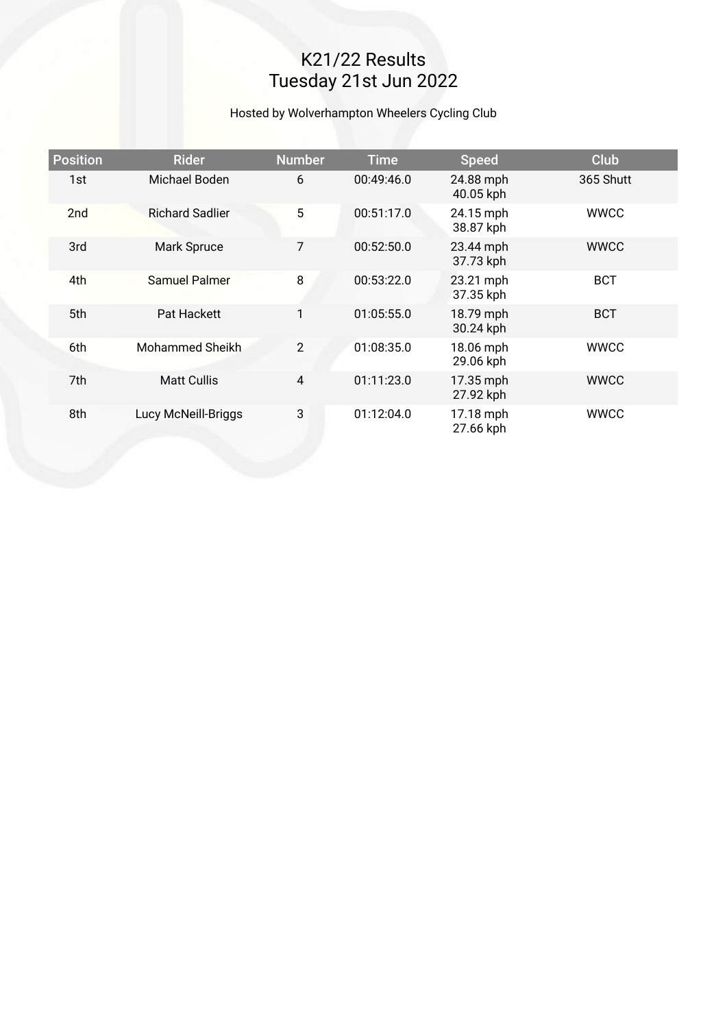# K21/22 Results Tuesday 21st Jun 2022

#### Hosted by Wolverhampton Wheelers Cycling Club

| <b>Position</b> | <b>Rider</b>           | <b>Number</b>  | <b>Time</b> | <b>Speed</b>           | <b>Club</b> |
|-----------------|------------------------|----------------|-------------|------------------------|-------------|
| 1st             | Michael Boden          | 6              | 00:49:46.0  | 24.88 mph<br>40.05 kph | 365 Shutt   |
| 2 <sub>nd</sub> | <b>Richard Sadlier</b> | 5              | 00:51:17.0  | 24.15 mph<br>38.87 kph | <b>WWCC</b> |
| 3rd             | Mark Spruce            | $\overline{7}$ | 00:52:50.0  | 23.44 mph<br>37.73 kph | <b>WWCC</b> |
| 4th             | Samuel Palmer          | 8              | 00:53:22.0  | 23.21 mph<br>37.35 kph | <b>BCT</b>  |
| 5th             | Pat Hackett            | 1              | 01:05:55.0  | 18.79 mph<br>30.24 kph | <b>BCT</b>  |
| 6th             | Mohammed Sheikh        | $\overline{2}$ | 01:08:35.0  | 18.06 mph<br>29.06 kph | <b>WWCC</b> |
| 7th             | <b>Matt Cullis</b>     | $\overline{4}$ | 01:11:23.0  | 17.35 mph<br>27.92 kph | <b>WWCC</b> |
| 8th             | Lucy McNeill-Briggs    | 3              | 01:12:04.0  | 17.18 mph<br>27.66 kph | <b>WWCC</b> |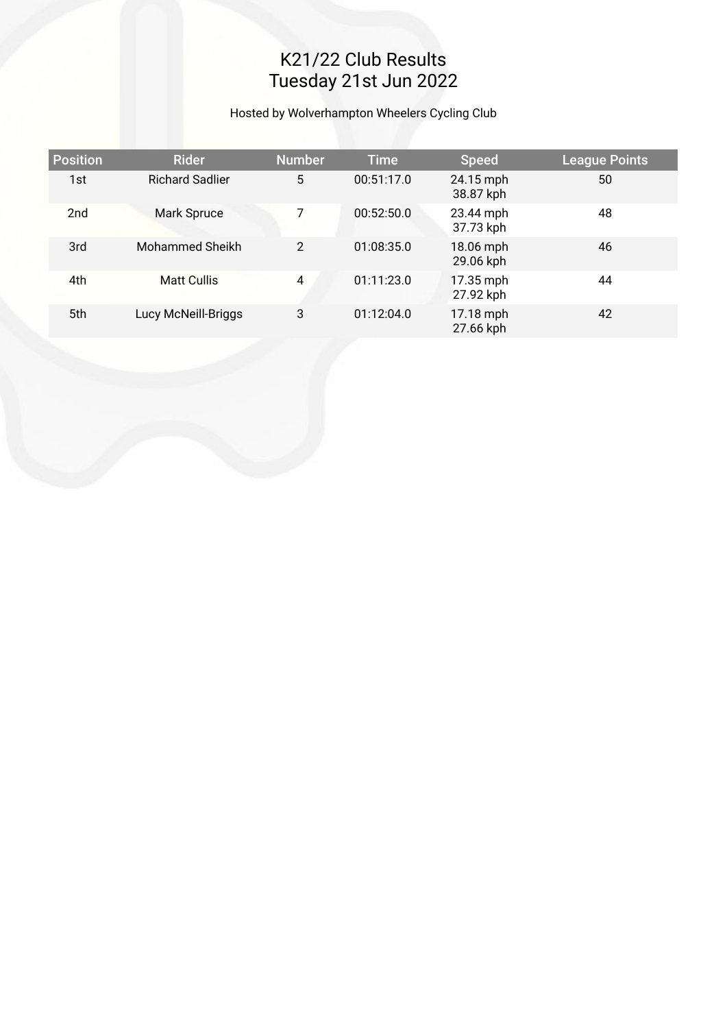# K21/22 Club Results Tuesday 21st Jun 2022

Hosted by Wolverhampton Wheelers Cycling Club

| <b>Position</b> | <b>Rider</b>           | <b>Number</b>  | <b>Time</b> | <b>Speed</b>           | League Points |
|-----------------|------------------------|----------------|-------------|------------------------|---------------|
| 1st             | <b>Richard Sadlier</b> | 5              | 00:51:17.0  | 24.15 mph<br>38.87 kph | 50            |
| 2 <sub>nd</sub> | Mark Spruce            | 7              | 00:52:50.0  | 23.44 mph<br>37.73 kph | 48            |
| 3rd             | Mohammed Sheikh        | $\overline{2}$ | 01:08:35.0  | 18.06 mph<br>29.06 kph | 46            |
| 4th             | <b>Matt Cullis</b>     | 4              | 01:11:23.0  | 17.35 mph<br>27.92 kph | 44            |
| 5th             | Lucy McNeill-Briggs    | 3              | 01:12:04.0  | 17.18 mph<br>27.66 kph | 42            |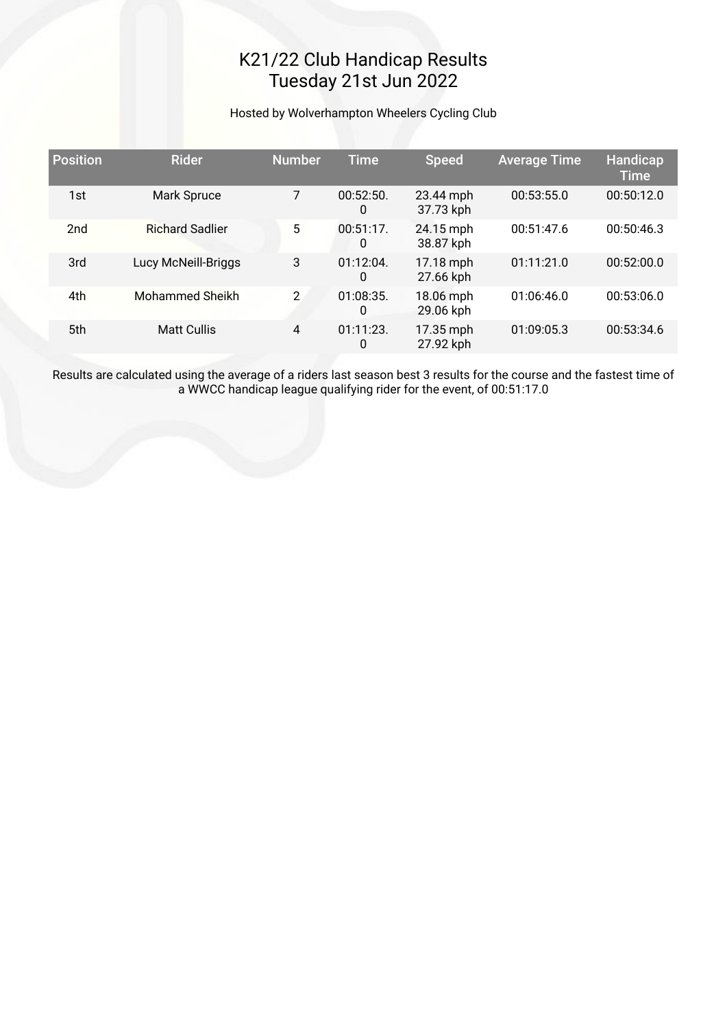## K21/22 Club Handicap Results Tuesday 21st Jun 2022

Hosted by Wolverhampton Wheelers Cycling Club

| <b>Position</b> | <b>Rider</b>           | <b>Number</b> | <b>Time</b>       | <b>Speed</b>           | <b>Average Time</b> | <b>Handicap</b><br><b>Time</b> |
|-----------------|------------------------|---------------|-------------------|------------------------|---------------------|--------------------------------|
| 1st             | Mark Spruce            | 7             | 00:52:50.<br>0    | 23.44 mph<br>37.73 kph | 00:53:55.0          | 00:50:12.0                     |
| 2 <sub>nd</sub> | <b>Richard Sadlier</b> | 5             | 00:51:17.<br>0    | 24.15 mph<br>38.87 kph | 00:51:47.6          | 00:50:46.3                     |
| 3rd             | Lucy McNeill-Briggs    | 3             | $01:12:04$ .<br>0 | 17.18 mph<br>27.66 kph | 01:11:21.0          | 00:52:00.0                     |
| 4th             | <b>Mohammed Sheikh</b> | $\mathcal{P}$ | 01:08:35.<br>0    | 18.06 mph<br>29.06 kph | 01:06:46.0          | 00:53:06.0                     |
| 5th             | <b>Matt Cullis</b>     | 4             | $01:11:23$ .<br>0 | 17.35 mph<br>27.92 kph | 01:09:05.3          | 00:53:34.6                     |

Results are calculated using the average of a riders last season best 3 results for the course and the fastest time of a WWCC handicap league qualifying rider for the event, of 00:51:17.0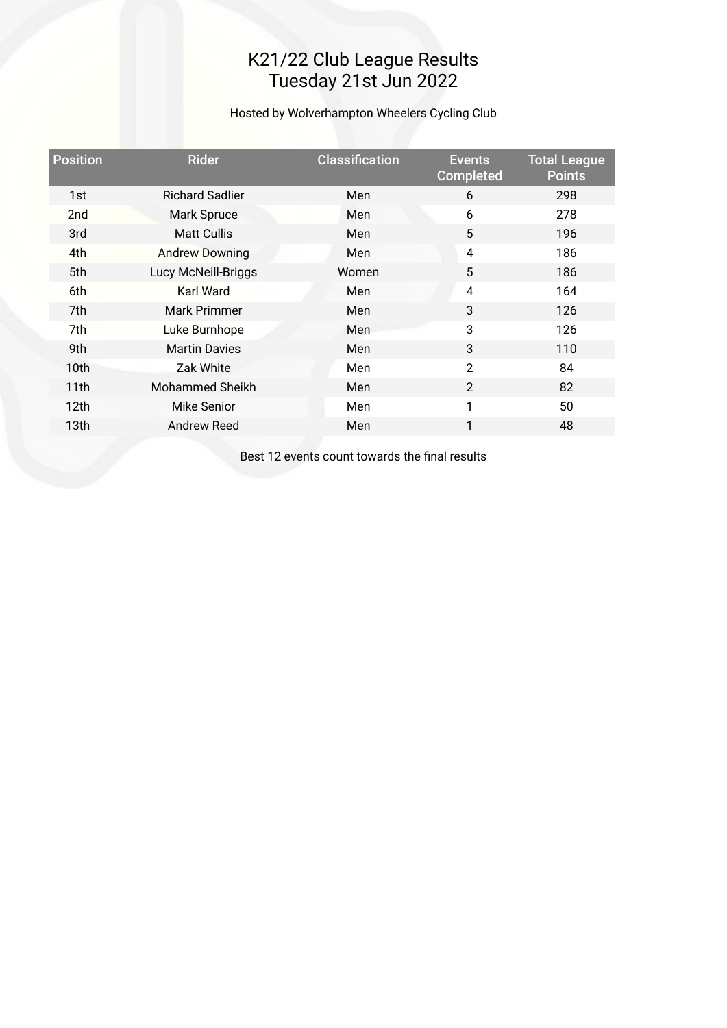### K21/22 Club League Results Tuesday 21st Jun 2022

Hosted by Wolverhampton Wheelers Cycling Club

| <b>Position</b>  | <b>Rider</b>           | <b>Classification</b> | <b>Events</b><br><b>Completed</b> | <b>Total League</b><br><b>Points</b> |
|------------------|------------------------|-----------------------|-----------------------------------|--------------------------------------|
| 1st              | <b>Richard Sadlier</b> | Men                   | 6                                 | 298                                  |
| 2 <sub>nd</sub>  | Mark Spruce            | Men                   | 6                                 | 278                                  |
| 3rd              | <b>Matt Cullis</b>     | Men                   | 5                                 | 196                                  |
| 4th              | <b>Andrew Downing</b>  | Men                   | 4                                 | 186                                  |
| 5th              | Lucy McNeill-Briggs    | Women                 | 5                                 | 186                                  |
| 6th              | <b>Karl Ward</b>       | Men                   | 4                                 | 164                                  |
| 7th              | <b>Mark Primmer</b>    | Men                   | 3                                 | 126                                  |
| 7th              | Luke Burnhope          | <b>Men</b>            | 3                                 | 126                                  |
| 9th              | <b>Martin Davies</b>   | Men                   | 3                                 | 110                                  |
| 10th             | Zak White              | Men                   | $\overline{2}$                    | 84                                   |
| 11th             | Mohammed Sheikh        | Men                   | $\overline{2}$                    | 82                                   |
| 12 <sub>th</sub> | Mike Senior            | Men                   | 1                                 | 50                                   |
| 13th             | <b>Andrew Reed</b>     | Men                   | 1                                 | 48                                   |
|                  |                        |                       |                                   |                                      |

Best 12 events count towards the fnal results